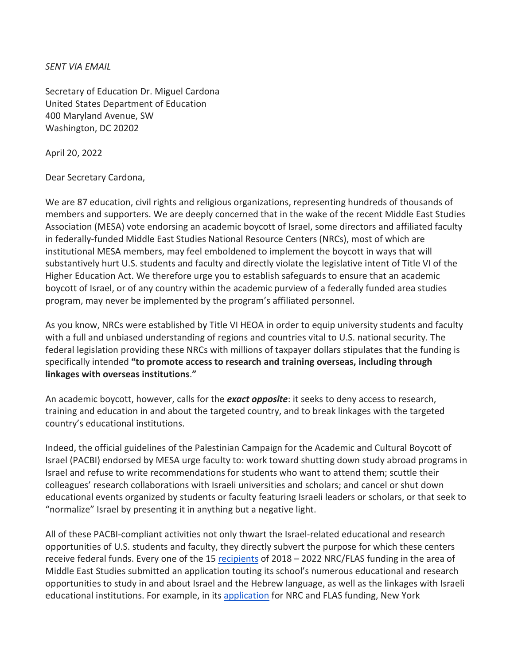*SENT VIA EMAIL* 

Secretary of Education Dr. Miguel Cardona United States Department of Education 400 Maryland Avenue, SW Washington, DC 20202

April 20, 2022

Dear Secretary Cardona,

We are 87 education, civil rights and religious organizations, representing hundreds of thousands of members and supporters. We are deeply concerned that in the wake of the recent Middle East Studies Association (MESA) vote endorsing an academic boycott of Israel, some directors and affiliated faculty in federally-funded Middle East Studies National Resource Centers (NRCs), most of which are institutional MESA members, may feel emboldened to implement the boycott in ways that will substantively hurt U.S. students and faculty and directly violate the legislative intent of Title VI of the Higher Education Act. We therefore urge you to establish safeguards to ensure that an academic boycott of Israel, or of any country within the academic purview of a federally funded area studies program, may never be implemented by the program's affiliated personnel.

As you know, NRCs were established by Title VI HEOA in order to equip university students and faculty with a full and unbiased understanding of regions and countries vital to U.S. national security. The federal legislation providing these NRCs with millions of taxpayer dollars stipulates that the funding is specifically intended **"to promote access to research and training overseas, including through linkages with overseas institutions**.**"**

An academic boycott, however, calls for the *exact opposite*: it seeks to deny access to research, training and education in and about the targeted country, and to break linkages with the targeted country's educational institutions.

Indeed, the official guidelines of the Palestinian Campaign for the Academic and Cultural Boycott of Israel (PACBI) endorsed by MESA urge faculty to: work toward shutting down study abroad programs in Israel and refuse to write recommendations for students who want to attend them; scuttle their colleagues' research collaborations with Israeli universities and scholars; and cancel or shut down educational events organized by students or faculty featuring Israeli leaders or scholars, or that seek to "normalize" Israel by presenting it in anything but a negative light.

All of these PACBI-compliant activities not only thwart the Israel-related educational and research opportunities of U.S. students and faculty, they directly subvert the purpose for which these centers receive federal funds. Every one of the 15 [recipients](https://amchainitiative.org/wp-content/uploads/2018/10/nrc-flas-grantees-fy2018-only-MES.pdf) of 2018 – 2022 NRC/FLAS funding in the area of Middle East Studies submitted an application touting its school's numerous educational and research opportunities to study in and about Israel and the Hebrew language, as well as the linkages with Israeli educational institutions. For example, in its [application](https://iris.ed.gov/downloads/applications/P015A180136/P015A180136_GrantApplication.pdf) for NRC and FLAS funding, New York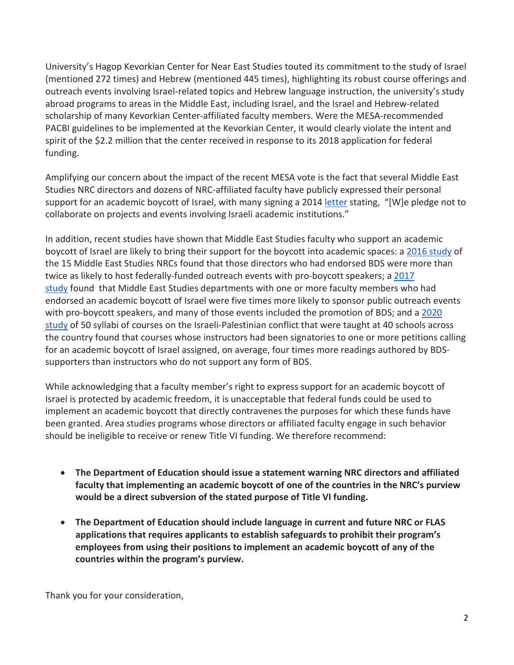University's Hagop Kevorkian Center for Near East Studies touted its commitment to the study of Israel (mentioned 272 times) and Hebrew (mentioned 445 times), highlighting its robust course offerings and outreach events involving Israel-related topics and Hebrew language instruction, the university's study abroad programs to areas in the Middle East, including Israel, and the Israel and Hebrew-related scholarship of many Kevorkian Center-affiliated faculty members. Were the MESA-recommended PACBI guidelines to be implemented at the Kevorkian Center, it would clearly violate the intent and spirit of the \$2.2 million that the center received in response to its 2018 application for federal funding.

Amplifying our concern about the impact of the recent MESA vote is the fact that several Middle East Studies NRC directors and dozens of NRC-affiliated faculty have publicly expressed their personal support for an academic boycott of Israel, with many signing a 2014 [letter](https://usacbi.org/2014/09/over-200-middle-east-scholars-and-librarians-call-for-academic-boycott-of-israel/) stating, "[W]e pledge not to collaborate on projects and events involving Israeli academic institutions."

In addition, recent studies have shown that Middle East Studies faculty who support an academic boycott of Israel are likely to bring their support for the boycott into academic spaces: a [2016 study](https://www.amchainitiative.org/wp-content/uploads/2016/01/NRC-Report.pdf) of the 15 Middle East Studies NRCs found that those directors who had endorsed BDS were more than twice as likely to host federally-funded outreach events with pro-boycott speakers; a [2017](https://amchainitiative.org/wp-content/uploads/2017/10/Faculty-Report.pdf)  [study](https://amchainitiative.org/wp-content/uploads/2017/10/Faculty-Report.pdf) found that Middle East Studies departments with one or more faculty members who had endorsed an academic boycott of Israel were five times more likely to sponsor public outreach events with pro-boycott speakers, and many of those events included the promotion of BDS; and a 2020 [study](https://amchainitiative.org/wp-content/uploads/2020/01/Syllabus-Study-Report.pdf) of 50 syllabi of courses on the Israeli-Palestinian conflict that were taught at 40 schools across the country found that courses whose instructors had been signatories to one or more petitions calling for an academic boycott of Israel assigned, on average, four times more readings authored by BDSsupporters than instructors who do not support any form of BDS.

While acknowledging that a faculty member's right to express support for an academic boycott of Israel is protected by academic freedom, it is unacceptable that federal funds could be used to implement an academic boycott that directly contravenes the purposes for which these funds have been granted. Area studies programs whose directors or affiliated faculty engage in such behavior should be ineligible to receive or renew Title VI funding. We therefore recommend:

- **The Department of Education should issue a statement warning NRC directors and affiliated faculty that implementing an academic boycott of one of the countries in the NRC's purview would be a direct subversion of the stated purpose of Title VI funding.**
- **The Department of Education should include language in current and future NRC or FLAS applications that requires applicants to establish safeguards to prohibit their program's employees from using their positions to implement an academic boycott of any of the countries within the program's purview.**

Thank you for your consideration,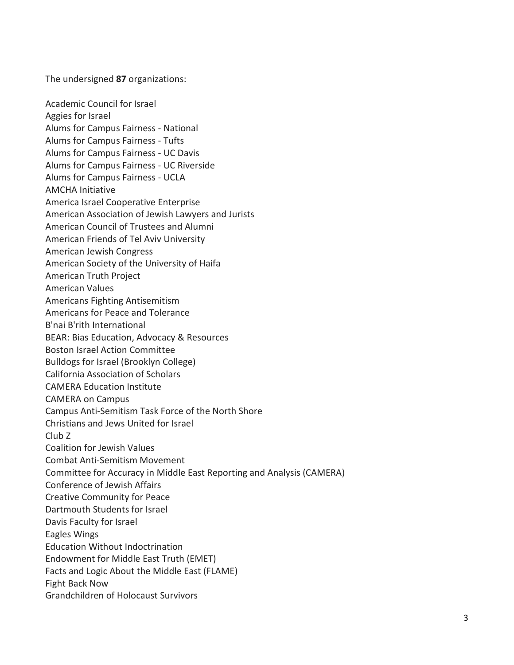The undersigned **87** organizations:

Academic Council for Israel Aggies for Israel Alums for Campus Fairness - National Alums for Campus Fairness - Tufts Alums for Campus Fairness - UC Davis Alums for Campus Fairness - UC Riverside Alums for Campus Fairness - UCLA AMCHA Initiative America Israel Cooperative Enterprise American Association of Jewish Lawyers and Jurists American Council of Trustees and Alumni American Friends of Tel Aviv University American Jewish Congress American Society of the University of Haifa American Truth Project American Values Americans Fighting Antisemitism Americans for Peace and Tolerance B'nai B'rith International BEAR: Bias Education, Advocacy & Resources Boston Israel Action Committee Bulldogs for Israel (Brooklyn College) California Association of Scholars CAMERA Education Institute CAMERA on Campus Campus Anti-Semitism Task Force of the North Shore Christians and Jews United for Israel Club Z Coalition for Jewish Values Combat Anti-Semitism Movement Committee for Accuracy in Middle East Reporting and Analysis (CAMERA) Conference of Jewish Affairs Creative Community for Peace Dartmouth Students for Israel Davis Faculty for Israel Eagles Wings Education Without Indoctrination Endowment for Middle East Truth (EMET) Facts and Logic About the Middle East (FLAME) Fight Back Now Grandchildren of Holocaust Survivors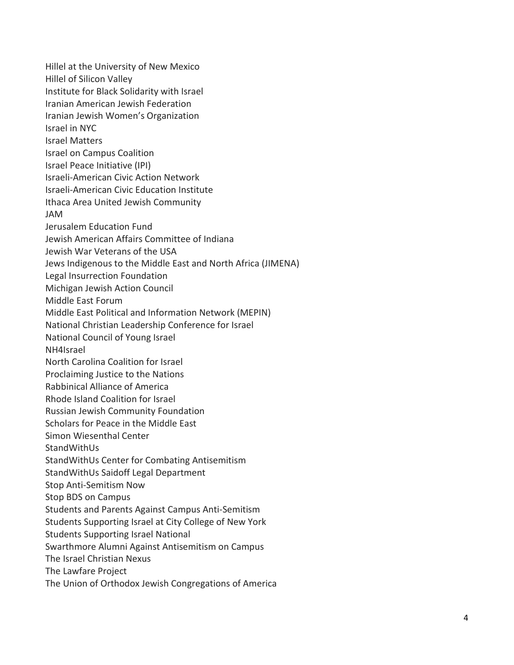Hillel at the University of New Mexico Hillel of Silicon Valley Institute for Black Solidarity with Israel Iranian American Jewish Federation Iranian Jewish Women's Organization Israel in NYC Israel Matters Israel on Campus Coalition Israel Peace Initiative (IPI) Israel i -American Civic Action Network Israeli -American Civic Education Institute Ithaca Area United Jewish Community JAM Jerusalem Education Fund Jewish American Affairs Committee of Indiana Jewish War Veterans of the USA Jews Indigenous to the Middle East and North Africa (JIMENA) Legal Insurrection Foundation Michigan Jewish Action Council Middle East Forum Middle East Political and Information Network (MEPIN) National Christian Leadership Conference for Israel National Council of Young Israel NH4Israel North Carolina Coalition for Israel Proclaiming Justice to the Nations Rabbinical Alliance of America Rhode Island Coalition for Israel Russian Jewish Community Foundation Scholars for Peace in the Middle East Simon Wiesenthal Center StandWithUs StandWithUs Center for Combating Antisemitism StandWithUs Saidoff Legal Department Stop Anti -Semitism Now Stop BDS on Campus Students and Parents Against Campus Anti -Semitism Students Supporting Israel at City College of New York Students Supporting Israel National Swarthmore Alumni Against Antisemitism on Campus The Israel Christian Nexus The Lawfare Project The Union of Orthodox Jewish Congregations of America